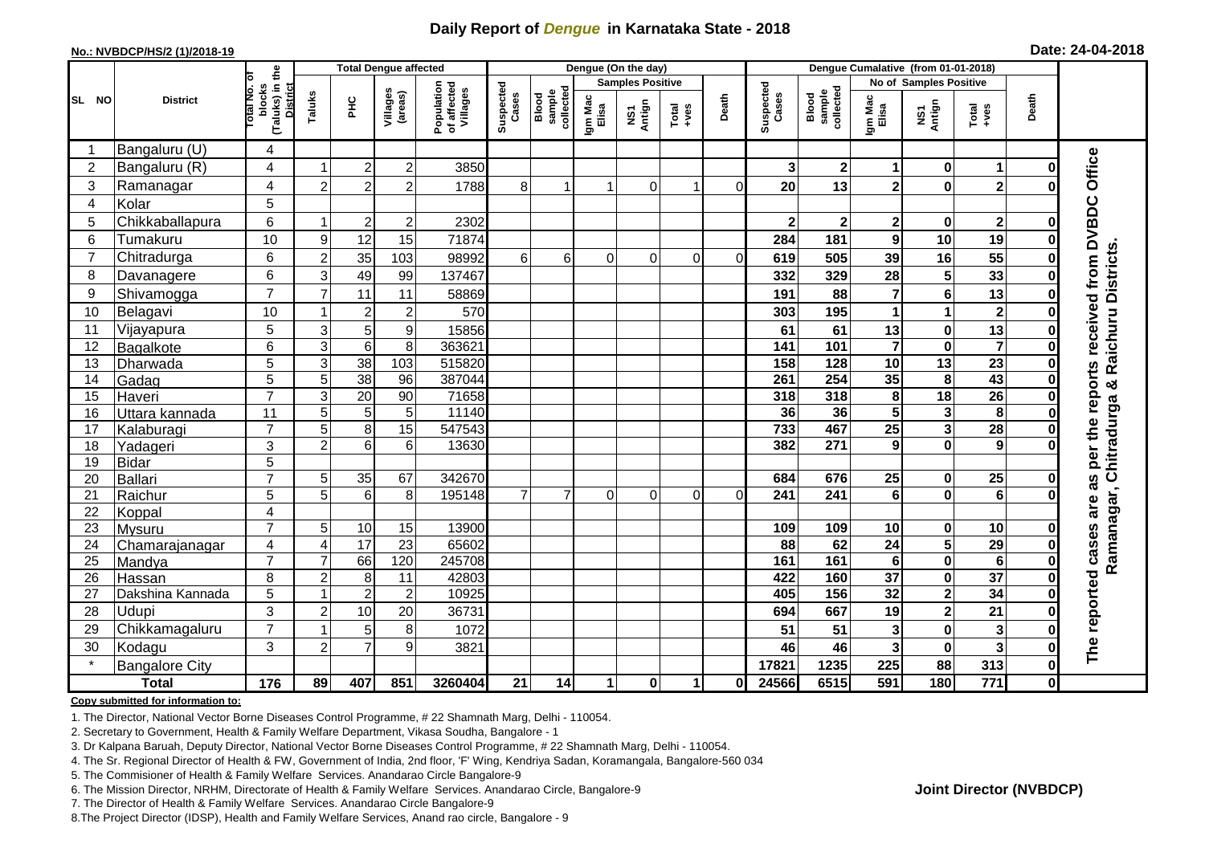## **Daily Report of** *Dengue* **in Karnataka State - 2018**

#### **No.: NVBDCP/HS/2 (1)/2018-19**

|  | Date: 24-04-2018 |  |
|--|------------------|--|
|--|------------------|--|

| <b>Total Dengue affected</b> |                       |                                                      |                           |                       |                        |                                       | Dengue (On the day) |                              |                  |                         |                                                              |          |                    | Dengue Cumalative (from 01-01-2018) |                         |                                                    |                         |              |                                                                |  |
|------------------------------|-----------------------|------------------------------------------------------|---------------------------|-----------------------|------------------------|---------------------------------------|---------------------|------------------------------|------------------|-------------------------|--------------------------------------------------------------|----------|--------------------|-------------------------------------|-------------------------|----------------------------------------------------|-------------------------|--------------|----------------------------------------------------------------|--|
|                              | <b>District</b>       |                                                      |                           |                       |                        |                                       |                     |                              |                  | <b>Samples Positive</b> |                                                              |          |                    |                                     |                         | No of Samples Positive                             |                         |              |                                                                |  |
| SL NO                        |                       | (Taluks) in the<br>District<br>otal No. ol<br>blocks | Taluks                    | $rac{C}{\pi}$         | Villages<br>(areas)    | Population<br>of affected<br>Villages | Suspected<br>Cases  | sample<br>collected<br>Blood | Igm Mac<br>Elisa | NS1<br>Antign           | $\begin{array}{c}\n\text{Total} \\ \text{+ves}\n\end{array}$ | Death    | Suspected<br>Cases | sample<br>collected<br>Blood        | Igm Mac<br>Elisa        | NS1<br>Antign                                      | Total<br>+ves           | Death        |                                                                |  |
| -1                           | Bangaluru (U)         | 4                                                    |                           |                       |                        |                                       |                     |                              |                  |                         |                                                              |          |                    |                                     |                         |                                                    |                         |              |                                                                |  |
| $\overline{2}$               | Bangaluru (R)         | 4                                                    |                           | $\overline{2}$        | $\overline{2}$         | 3850                                  |                     |                              |                  |                         |                                                              |          | 3                  | $\mathbf 2$                         | 1                       | $\bf{0}$                                           | 1                       | ŋ            |                                                                |  |
| 3                            | Ramanagar             | 4                                                    | $\overline{2}$            | $\overline{c}$        | $\overline{c}$         | 1788                                  | 8                   | 1                            |                  | $\Omega$                | 1                                                            | ΟI       | 20                 | 13                                  | $\overline{\mathbf{2}}$ | $\mathbf 0$                                        | $\mathbf{2}$            | O            | Office                                                         |  |
| $\overline{4}$               | Kolar                 | 5                                                    |                           |                       |                        |                                       |                     |                              |                  |                         |                                                              |          |                    |                                     |                         |                                                    |                         |              |                                                                |  |
| 5                            | Chikkaballapura       | 6                                                    | -1                        | $\overline{2}$        | $\overline{c}$         | 2302                                  |                     |                              |                  |                         |                                                              |          | $\mathbf{2}$       | $2 \vert$                           | $\mathbf 2$             | $\pmb{0}$                                          | $\mathbf 2$             | ŋ            |                                                                |  |
| 6                            | Tumakuru              | 10                                                   | 9                         | 12                    | 15                     | 71874                                 |                     |                              |                  |                         |                                                              |          | 284                | 181                                 | 9                       | 10                                                 | 19                      | ŋ            |                                                                |  |
| $\overline{7}$               | Chitradurga           | 6                                                    | $\overline{c}$            | 35                    | 103                    | 98992                                 | 6                   | $6 \mid$                     | 0                | $\mathbf 0$             | 0                                                            | $\Omega$ | 619                | 505                                 | 39                      | 16                                                 | $\overline{55}$         | 0            |                                                                |  |
| 8                            | Davanagere            | 6                                                    | 3                         | 49                    | 99                     | 137467                                |                     |                              |                  |                         |                                                              |          | 332                | 329                                 | 28                      | 5                                                  | 33                      | $\bf{0}$     |                                                                |  |
| 9                            | Shivamogga            | $\overline{7}$                                       | $\overline{7}$            | 11                    | 11                     | 58869                                 |                     |                              |                  |                         |                                                              |          | 191                | 88                                  | 7                       | $\bf 6$                                            | 13                      | O            | as per the reports received from DVBDC<br>& Raichuru Districts |  |
| 10                           | Belagavi              | 10                                                   |                           | $\boldsymbol{2}$      | $\overline{c}$         | 570                                   |                     |                              |                  |                         |                                                              |          | 303                | 195                                 | 1                       | $\overline{1}$                                     | $\mathbf 2$             |              |                                                                |  |
| 11                           | Vijayapura            | 5                                                    | 3                         | 5                     | 9                      | 15856                                 |                     |                              |                  |                         |                                                              |          | 61                 | 61                                  | 13                      | $\pmb{0}$                                          | 13                      |              |                                                                |  |
| 12                           | Bagalkote             | 6                                                    | $\overline{3}$            | $\overline{6}$        | $\,8\,$                | 363621                                |                     |                              |                  |                         |                                                              |          | $\frac{1}{141}$    | 101                                 | $\overline{\mathbf{7}}$ | $\overline{\mathbf{0}}$                            | $\overline{\mathbf{7}}$ | 0            |                                                                |  |
| 13                           | Dharwada              | 5                                                    | $\ensuremath{\mathsf{3}}$ | 38                    | 103                    | 515820                                |                     |                              |                  |                         |                                                              |          | 158                | 128                                 | 10                      | $\overline{13}$                                    | $\overline{23}$         | 0            |                                                                |  |
| 14                           | Gadag                 | $\overline{5}$                                       | 5                         | 38                    | 96                     | 387044                                |                     |                              |                  |                         |                                                              |          | 261                | 254                                 | 35                      | 8                                                  | 43                      |              |                                                                |  |
| 15                           | Haveri                | $\overline{7}$                                       | 3                         | 20                    | 90                     | 71658                                 |                     |                              |                  |                         |                                                              |          | 318                | 318                                 | 8                       | 18                                                 | $\overline{26}$         | O            |                                                                |  |
| 16                           | Uttara kannada        | 11                                                   | 5                         | 5                     | 5                      | 11140                                 |                     |                              |                  |                         |                                                              |          | 36                 | 36                                  | 5                       | $\mathbf{3}$                                       | 8                       |              |                                                                |  |
| 17                           | Kalaburagi            | $\overline{7}$                                       | 5                         | 8                     | $\overline{15}$        | 547543                                |                     |                              |                  |                         |                                                              |          | 733                | 467                                 | $\overline{25}$         | $\overline{\mathbf{3}}$                            | $\overline{28}$         | $\bf{0}$     |                                                                |  |
| 18                           | Yadageri              | 3                                                    | $\overline{c}$            | 6                     | 6                      | 13630                                 |                     |                              |                  |                         |                                                              |          | 382                | 271                                 | 9                       | $\mathbf 0$                                        | 9                       |              |                                                                |  |
| 19                           | <b>Bidar</b>          | 5                                                    |                           |                       |                        |                                       |                     |                              |                  |                         |                                                              |          |                    |                                     |                         |                                                    |                         |              |                                                                |  |
| 20                           | <b>Ballari</b>        | $\overline{7}$                                       | 5                         | 35                    | 67                     | 342670                                |                     |                              |                  |                         |                                                              |          | 684                | 676                                 | 25                      | $\mathbf 0$                                        | $\overline{25}$         | 0            |                                                                |  |
| 21                           | Raichur               | 5                                                    | 5                         | 6                     | 8                      | 195148                                | $\overline{7}$      | $\overline{7}$               | 0                | $\Omega$                | 0                                                            | $\Omega$ | 241                | 241                                 | $6\phantom{a}$          | $\mathbf 0$                                        | $\overline{6}$          |              | are                                                            |  |
| 22                           | Koppal                | $\overline{\mathbf{4}}$                              |                           |                       |                        |                                       |                     |                              |                  |                         |                                                              |          |                    |                                     |                         |                                                    |                         |              |                                                                |  |
| 23                           | Mysuru                | $\overline{7}$                                       | 5                         | 10                    | 15                     | 13900                                 |                     |                              |                  |                         |                                                              |          | 109                | 109                                 | 10                      | $\bf{0}$                                           | 10                      | 0            |                                                                |  |
| 24<br>25                     | Chamarajanagar        | 4<br>$\overline{7}$                                  | 4<br>$\overline{7}$       | $\overline{17}$<br>66 | $\overline{23}$<br>120 | 65602<br>245708                       |                     |                              |                  |                         |                                                              |          | 88<br>161          | 62<br>161                           | $\overline{24}$<br>6    | $\overline{\mathbf{5}}$<br>$\overline{\mathbf{0}}$ | 29<br>$6\phantom{1}6$   | O<br>O       | Ramanagar, Chitradurga                                         |  |
| 26                           | Mandya<br>Hassan      | 8                                                    | $\overline{c}$            | 8                     | 11                     | 42803                                 |                     |                              |                  |                         |                                                              |          | 422                | 160                                 | $\overline{37}$         | $\pmb{0}$                                          | $\overline{37}$         | 0            |                                                                |  |
| 27                           | Dakshina Kannada      | 5                                                    | 1                         | $\overline{2}$        | $\overline{2}$         | 10925                                 |                     |                              |                  |                         |                                                              |          | 405                | 156                                 | 32                      | $\overline{\mathbf{2}}$                            | 34                      | 0            |                                                                |  |
| 28                           | Udupi                 | 3                                                    | $\overline{2}$            | 10                    | 20                     | 36731                                 |                     |                              |                  |                         |                                                              |          | 694                | 667                                 | 19                      | $\overline{\mathbf{2}}$                            | 21                      | $\bf{0}$     |                                                                |  |
| 29                           | Chikkamagaluru        | $\overline{7}$                                       |                           | 5                     | 8                      | 1072                                  |                     |                              |                  |                         |                                                              |          | 51                 | 51                                  | $\overline{\mathbf{3}}$ | $\bf{0}$                                           | 3                       | ŋ            | The reported cases                                             |  |
| 30                           | Kodagu                | 3                                                    | $\overline{2}$            | $\overline{7}$        | 9                      | 3821                                  |                     |                              |                  |                         |                                                              |          | 46                 | 46                                  | $\overline{\mathbf{3}}$ | $\mathbf 0$                                        | $\overline{\mathbf{3}}$ | ŋ            |                                                                |  |
|                              | <b>Bangalore City</b> |                                                      |                           |                       |                        |                                       |                     |                              |                  |                         |                                                              |          | 17821              | 1235                                | 225                     | 88                                                 | 313                     | $\mathbf 0$  |                                                                |  |
|                              | <b>Total</b>          | $\frac{1}{176}$                                      | 89                        | 407                   | 851                    | 3260404                               | 21                  | 14                           | 1                | $\mathbf 0$             | $\blacktriangleleft$                                         | ΟI       | 24566              | 6515                                | 591                     | 180                                                | $\overline{771}$        | $\mathbf{0}$ |                                                                |  |

#### **Copy submitted for information to:**

1. The Director, National Vector Borne Diseases Control Programme, # 22 Shamnath Marg, Delhi - 110054.

2. Secretary to Government, Health & Family Welfare Department, Vikasa Soudha, Bangalore - 1

3. Dr Kalpana Baruah, Deputy Director, National Vector Borne Diseases Control Programme, # 22 Shamnath Marg, Delhi - 110054.

4. The Sr. Regional Director of Health & FW, Government of India, 2nd floor, 'F' Wing, Kendriya Sadan, Koramangala, Bangalore-560 034

5. The Commisioner of Health & Family Welfare Services. Anandarao Circle Bangalore-9

6. The Mission Director, NRHM, Directorate of Health & Family Welfare Services. Anandarao Circle, Bangalore-9

7. The Director of Health & Family Welfare Services. Anandarao Circle Bangalore-9

8.The Project Director (IDSP), Health and Family Welfare Services, Anand rao circle, Bangalore - 9